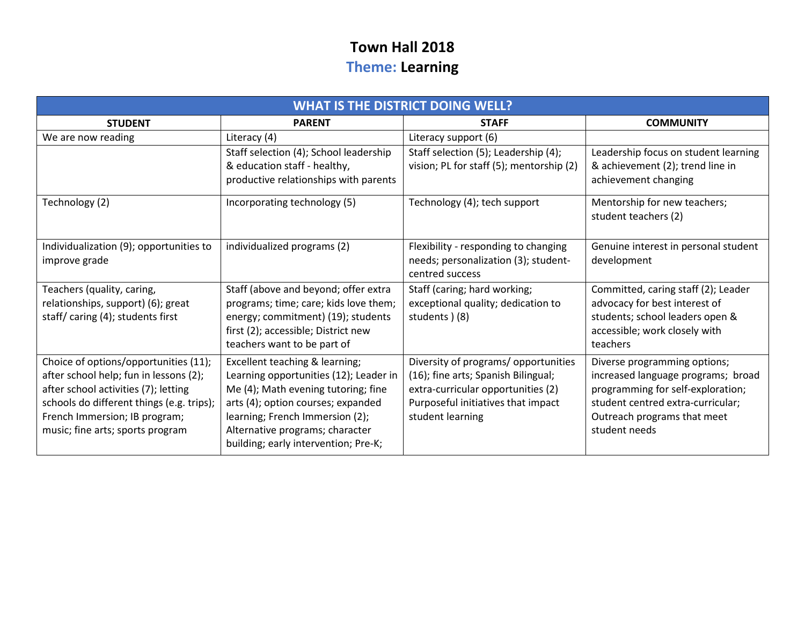## **Town Hall 2018 Theme: Learning**

| <b>WHAT IS THE DISTRICT DOING WELL?</b>                                                                                                                                                               |                                                                                                                                                                                          |                                                                                                                                                                             |                                                                                                                                                                             |  |
|-------------------------------------------------------------------------------------------------------------------------------------------------------------------------------------------------------|------------------------------------------------------------------------------------------------------------------------------------------------------------------------------------------|-----------------------------------------------------------------------------------------------------------------------------------------------------------------------------|-----------------------------------------------------------------------------------------------------------------------------------------------------------------------------|--|
| <b>STUDENT</b>                                                                                                                                                                                        | <b>PARENT</b>                                                                                                                                                                            | <b>STAFF</b>                                                                                                                                                                | <b>COMMUNITY</b>                                                                                                                                                            |  |
| We are now reading                                                                                                                                                                                    | Literacy (4)                                                                                                                                                                             | Literacy support (6)                                                                                                                                                        |                                                                                                                                                                             |  |
|                                                                                                                                                                                                       | Staff selection (4); School leadership                                                                                                                                                   | Staff selection (5); Leadership (4);                                                                                                                                        | Leadership focus on student learning                                                                                                                                        |  |
|                                                                                                                                                                                                       | & education staff - healthy,<br>productive relationships with parents                                                                                                                    | vision; PL for staff (5); mentorship (2)                                                                                                                                    | & achievement (2); trend line in<br>achievement changing                                                                                                                    |  |
| Technology (2)                                                                                                                                                                                        | Incorporating technology (5)                                                                                                                                                             | Technology (4); tech support                                                                                                                                                | Mentorship for new teachers;<br>student teachers (2)                                                                                                                        |  |
| Individualization (9); opportunities to<br>improve grade                                                                                                                                              | individualized programs (2)                                                                                                                                                              | Flexibility - responding to changing<br>needs; personalization (3); student-<br>centred success                                                                             | Genuine interest in personal student<br>development                                                                                                                         |  |
| Teachers (quality, caring,<br>relationships, support) (6); great                                                                                                                                      | Staff (above and beyond; offer extra<br>programs; time; care; kids love them;                                                                                                            | Staff (caring; hard working;<br>exceptional quality; dedication to                                                                                                          | Committed, caring staff (2); Leader<br>advocacy for best interest of                                                                                                        |  |
| staff/caring (4); students first                                                                                                                                                                      | energy; commitment) (19); students                                                                                                                                                       | students ) (8)                                                                                                                                                              | students; school leaders open &                                                                                                                                             |  |
|                                                                                                                                                                                                       | first (2); accessible; District new<br>teachers want to be part of                                                                                                                       |                                                                                                                                                                             | accessible; work closely with<br>teachers                                                                                                                                   |  |
| Choice of options/opportunities (11);<br>after school help; fun in lessons (2);<br>after school activities (7); letting<br>schools do different things (e.g. trips);<br>French Immersion; IB program; | Excellent teaching & learning;<br>Learning opportunities (12); Leader in<br>Me (4); Math evening tutoring; fine<br>arts (4); option courses; expanded<br>learning; French Immersion (2); | Diversity of programs/ opportunities<br>(16); fine arts; Spanish Bilingual;<br>extra-curricular opportunities (2)<br>Purposeful initiatives that impact<br>student learning | Diverse programming options;<br>increased language programs; broad<br>programming for self-exploration;<br>student centred extra-curricular;<br>Outreach programs that meet |  |
| music; fine arts; sports program                                                                                                                                                                      | Alternative programs; character<br>building; early intervention; Pre-K;                                                                                                                  |                                                                                                                                                                             | student needs                                                                                                                                                               |  |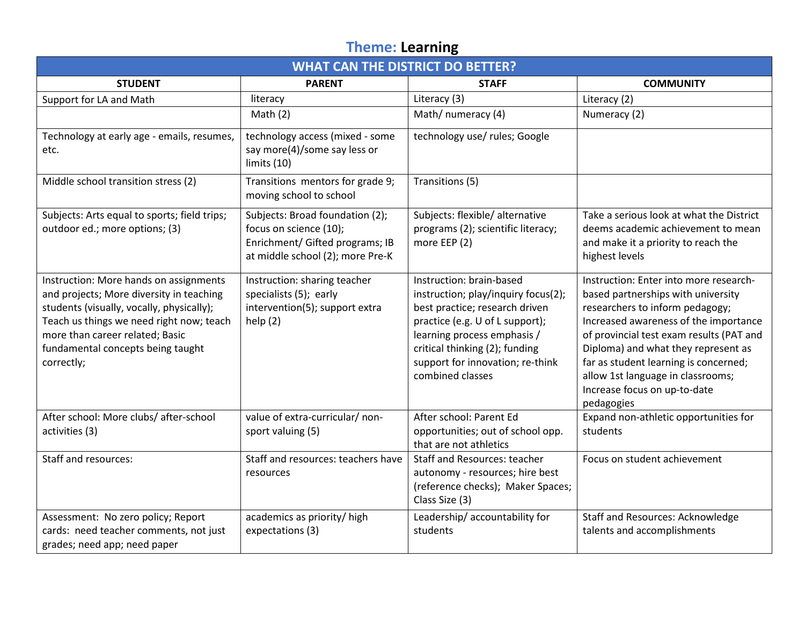## **Theme: Learning**

| <b>WHAT CAN THE DISTRICT DO BETTER?</b>                                                                                                                                                                                                                           |                                                                                                                                  |                                                                                                                                                                                                                                                               |                                                                                                                                                                                                                                                                                                                                                                         |  |
|-------------------------------------------------------------------------------------------------------------------------------------------------------------------------------------------------------------------------------------------------------------------|----------------------------------------------------------------------------------------------------------------------------------|---------------------------------------------------------------------------------------------------------------------------------------------------------------------------------------------------------------------------------------------------------------|-------------------------------------------------------------------------------------------------------------------------------------------------------------------------------------------------------------------------------------------------------------------------------------------------------------------------------------------------------------------------|--|
| <b>STUDENT</b>                                                                                                                                                                                                                                                    | <b>PARENT</b>                                                                                                                    | <b>STAFF</b>                                                                                                                                                                                                                                                  | <b>COMMUNITY</b>                                                                                                                                                                                                                                                                                                                                                        |  |
| Support for LA and Math                                                                                                                                                                                                                                           | literacy                                                                                                                         | Literacy (3)                                                                                                                                                                                                                                                  | Literacy (2)                                                                                                                                                                                                                                                                                                                                                            |  |
|                                                                                                                                                                                                                                                                   | Math $(2)$                                                                                                                       | Math/ numeracy (4)                                                                                                                                                                                                                                            | Numeracy (2)                                                                                                                                                                                                                                                                                                                                                            |  |
| Technology at early age - emails, resumes,<br>etc.                                                                                                                                                                                                                | technology access (mixed - some<br>say more(4)/some say less or<br>limits (10)                                                   | technology use/ rules; Google                                                                                                                                                                                                                                 |                                                                                                                                                                                                                                                                                                                                                                         |  |
| Middle school transition stress (2)                                                                                                                                                                                                                               | Transitions mentors for grade 9;<br>moving school to school                                                                      | Transitions (5)                                                                                                                                                                                                                                               |                                                                                                                                                                                                                                                                                                                                                                         |  |
| Subjects: Arts equal to sports; field trips;<br>outdoor ed.; more options; (3)                                                                                                                                                                                    | Subjects: Broad foundation (2);<br>focus on science (10);<br>Enrichment/ Gifted programs; IB<br>at middle school (2); more Pre-K | Subjects: flexible/ alternative<br>programs (2); scientific literacy;<br>more EEP (2)                                                                                                                                                                         | Take a serious look at what the District<br>deems academic achievement to mean<br>and make it a priority to reach the<br>highest levels                                                                                                                                                                                                                                 |  |
| Instruction: More hands on assignments<br>and projects; More diversity in teaching<br>students (visually, vocally, physically);<br>Teach us things we need right now; teach<br>more than career related; Basic<br>fundamental concepts being taught<br>correctly; | Instruction: sharing teacher<br>specialists (5); early<br>intervention(5); support extra<br>help $(2)$                           | Instruction: brain-based<br>instruction; play/inquiry focus(2);<br>best practice; research driven<br>practice (e.g. U of L support);<br>learning process emphasis /<br>critical thinking (2); funding<br>support for innovation; re-think<br>combined classes | Instruction: Enter into more research-<br>based partnerships with university<br>researchers to inform pedagogy;<br>Increased awareness of the importance<br>of provincial test exam results (PAT and<br>Diploma) and what they represent as<br>far as student learning is concerned;<br>allow 1st language in classrooms;<br>Increase focus on up-to-date<br>pedagogies |  |
| After school: More clubs/ after-school<br>activities (3)                                                                                                                                                                                                          | value of extra-curricular/ non-<br>sport valuing (5)                                                                             | After school: Parent Ed<br>opportunities; out of school opp.<br>that are not athletics                                                                                                                                                                        | Expand non-athletic opportunities for<br>students                                                                                                                                                                                                                                                                                                                       |  |
| Staff and resources:                                                                                                                                                                                                                                              | Staff and resources: teachers have<br>resources                                                                                  | <b>Staff and Resources: teacher</b><br>autonomy - resources; hire best<br>(reference checks); Maker Spaces;<br>Class Size (3)                                                                                                                                 | Focus on student achievement                                                                                                                                                                                                                                                                                                                                            |  |
| Assessment: No zero policy; Report<br>cards: need teacher comments, not just<br>grades; need app; need paper                                                                                                                                                      | academics as priority/ high<br>expectations (3)                                                                                  | Leadership/accountability for<br>students                                                                                                                                                                                                                     | <b>Staff and Resources: Acknowledge</b><br>talents and accomplishments                                                                                                                                                                                                                                                                                                  |  |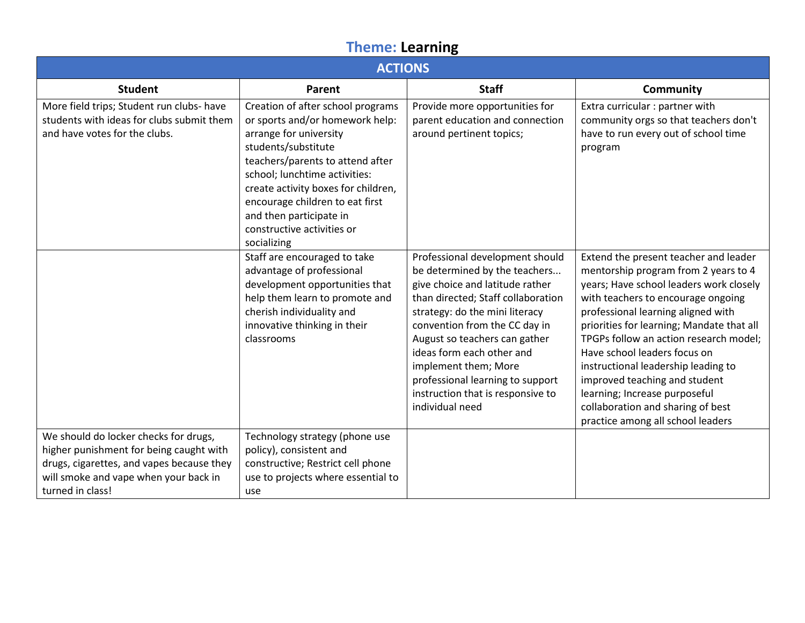## **Theme: Learning**

| <b>ACTIONS</b>                                                                                                                                                                             |                                                                                                                                                                                                                                                                                                                                              |                                                                                                                                                                                                                                                                                                                                                                                                |                                                                                                                                                                                                                                                                                                                                                                                                                                                                                                                |  |
|--------------------------------------------------------------------------------------------------------------------------------------------------------------------------------------------|----------------------------------------------------------------------------------------------------------------------------------------------------------------------------------------------------------------------------------------------------------------------------------------------------------------------------------------------|------------------------------------------------------------------------------------------------------------------------------------------------------------------------------------------------------------------------------------------------------------------------------------------------------------------------------------------------------------------------------------------------|----------------------------------------------------------------------------------------------------------------------------------------------------------------------------------------------------------------------------------------------------------------------------------------------------------------------------------------------------------------------------------------------------------------------------------------------------------------------------------------------------------------|--|
| <b>Student</b>                                                                                                                                                                             | <b>Parent</b>                                                                                                                                                                                                                                                                                                                                | <b>Staff</b>                                                                                                                                                                                                                                                                                                                                                                                   | <b>Community</b>                                                                                                                                                                                                                                                                                                                                                                                                                                                                                               |  |
| More field trips; Student run clubs- have<br>students with ideas for clubs submit them<br>and have votes for the clubs.                                                                    | Creation of after school programs<br>or sports and/or homework help:<br>arrange for university<br>students/substitute<br>teachers/parents to attend after<br>school; lunchtime activities:<br>create activity boxes for children,<br>encourage children to eat first<br>and then participate in<br>constructive activities or<br>socializing | Provide more opportunities for<br>parent education and connection<br>around pertinent topics;                                                                                                                                                                                                                                                                                                  | Extra curricular : partner with<br>community orgs so that teachers don't<br>have to run every out of school time<br>program                                                                                                                                                                                                                                                                                                                                                                                    |  |
|                                                                                                                                                                                            | Staff are encouraged to take<br>advantage of professional<br>development opportunities that<br>help them learn to promote and<br>cherish individuality and<br>innovative thinking in their<br>classrooms                                                                                                                                     | Professional development should<br>be determined by the teachers<br>give choice and latitude rather<br>than directed; Staff collaboration<br>strategy: do the mini literacy<br>convention from the CC day in<br>August so teachers can gather<br>ideas form each other and<br>implement them; More<br>professional learning to support<br>instruction that is responsive to<br>individual need | Extend the present teacher and leader<br>mentorship program from 2 years to 4<br>years; Have school leaders work closely<br>with teachers to encourage ongoing<br>professional learning aligned with<br>priorities for learning; Mandate that all<br>TPGPs follow an action research model;<br>Have school leaders focus on<br>instructional leadership leading to<br>improved teaching and student<br>learning; Increase purposeful<br>collaboration and sharing of best<br>practice among all school leaders |  |
| We should do locker checks for drugs,<br>higher punishment for being caught with<br>drugs, cigarettes, and vapes because they<br>will smoke and vape when your back in<br>turned in class! | Technology strategy (phone use<br>policy), consistent and<br>constructive; Restrict cell phone<br>use to projects where essential to<br>use                                                                                                                                                                                                  |                                                                                                                                                                                                                                                                                                                                                                                                |                                                                                                                                                                                                                                                                                                                                                                                                                                                                                                                |  |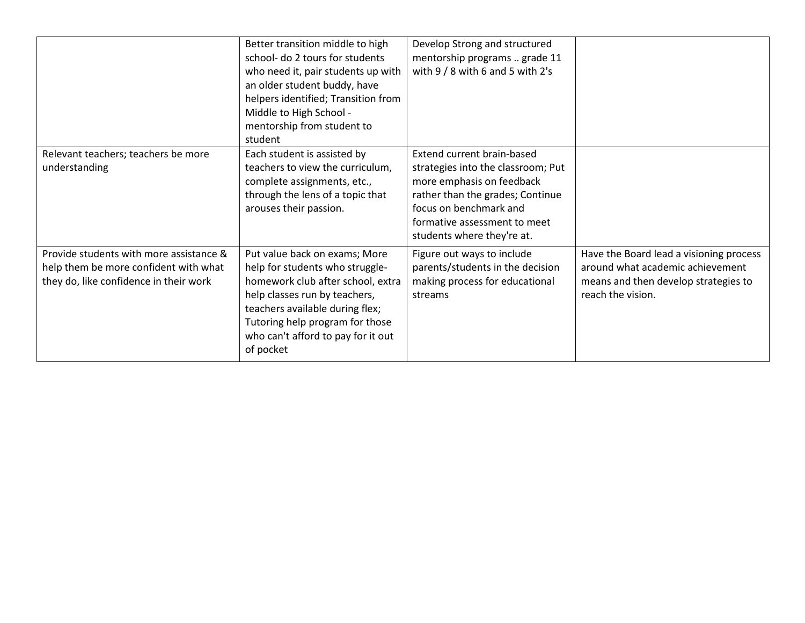|                                                                                                                            | Better transition middle to high<br>school- do 2 tours for students<br>who need it, pair students up with<br>an older student buddy, have<br>helpers identified; Transition from<br>Middle to High School -<br>mentorship from student to<br>student            | Develop Strong and structured<br>mentorship programs  grade 11<br>with $9/8$ with 6 and 5 with 2's                                                                                                                        |                                                                                                                                          |
|----------------------------------------------------------------------------------------------------------------------------|-----------------------------------------------------------------------------------------------------------------------------------------------------------------------------------------------------------------------------------------------------------------|---------------------------------------------------------------------------------------------------------------------------------------------------------------------------------------------------------------------------|------------------------------------------------------------------------------------------------------------------------------------------|
| Relevant teachers; teachers be more<br>understanding                                                                       | Each student is assisted by<br>teachers to view the curriculum,<br>complete assignments, etc.,<br>through the lens of a topic that<br>arouses their passion.                                                                                                    | Extend current brain-based<br>strategies into the classroom; Put<br>more emphasis on feedback<br>rather than the grades; Continue<br>focus on benchmark and<br>formative assessment to meet<br>students where they're at. |                                                                                                                                          |
| Provide students with more assistance &<br>help them be more confident with what<br>they do, like confidence in their work | Put value back on exams; More<br>help for students who struggle-<br>homework club after school, extra<br>help classes run by teachers,<br>teachers available during flex;<br>Tutoring help program for those<br>who can't afford to pay for it out<br>of pocket | Figure out ways to include<br>parents/students in the decision<br>making process for educational<br>streams                                                                                                               | Have the Board lead a visioning process<br>around what academic achievement<br>means and then develop strategies to<br>reach the vision. |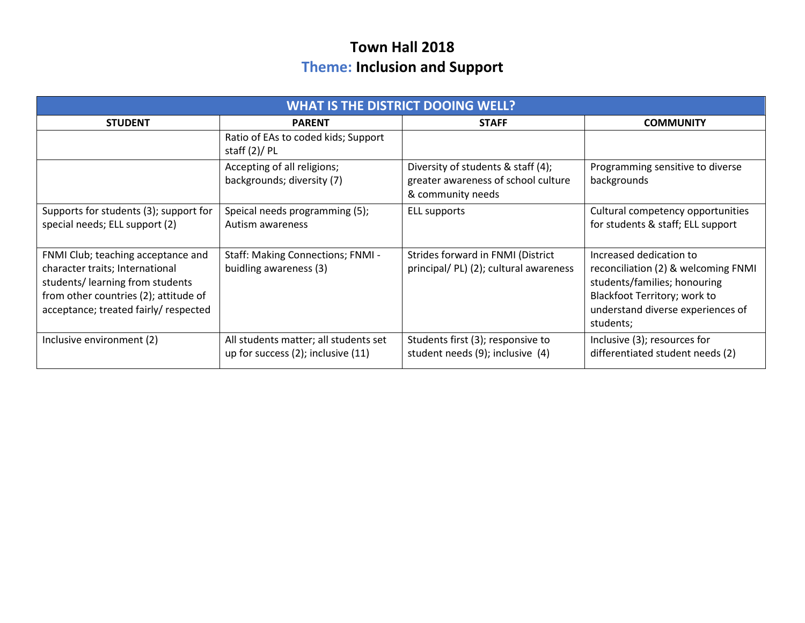## **Town Hall 2018 Theme: Inclusion and Support**

| <b>WHAT IS THE DISTRICT DOOING WELL?</b>                                                                                                                                                   |                                                                             |                                                                                                |                                                                                                                                                                                         |  |
|--------------------------------------------------------------------------------------------------------------------------------------------------------------------------------------------|-----------------------------------------------------------------------------|------------------------------------------------------------------------------------------------|-----------------------------------------------------------------------------------------------------------------------------------------------------------------------------------------|--|
| <b>STUDENT</b>                                                                                                                                                                             | <b>PARENT</b>                                                               | <b>STAFF</b>                                                                                   | <b>COMMUNITY</b>                                                                                                                                                                        |  |
|                                                                                                                                                                                            | Ratio of EAs to coded kids; Support<br>staff $(2)/$ PL                      |                                                                                                |                                                                                                                                                                                         |  |
|                                                                                                                                                                                            | Accepting of all religions;<br>backgrounds; diversity (7)                   | Diversity of students & staff (4);<br>greater awareness of school culture<br>& community needs | Programming sensitive to diverse<br>backgrounds                                                                                                                                         |  |
| Supports for students (3); support for<br>special needs; ELL support (2)                                                                                                                   | Speical needs programming (5);<br>Autism awareness                          | <b>ELL supports</b>                                                                            | Cultural competency opportunities<br>for students & staff; ELL support                                                                                                                  |  |
| FNMI Club; teaching acceptance and<br>character traits; International<br>students/learning from students<br>from other countries (2); attitude of<br>acceptance; treated fairly/ respected | Staff: Making Connections; FNMI -<br>buidling awareness (3)                 | Strides forward in FNMI (District<br>principal/ PL) (2); cultural awareness                    | Increased dedication to<br>reconciliation (2) & welcoming FNMI<br>students/families; honouring<br><b>Blackfoot Territory; work to</b><br>understand diverse experiences of<br>students; |  |
| Inclusive environment (2)                                                                                                                                                                  | All students matter; all students set<br>up for success (2); inclusive (11) | Students first (3); responsive to<br>student needs (9); inclusive (4)                          | Inclusive (3); resources for<br>differentiated student needs (2)                                                                                                                        |  |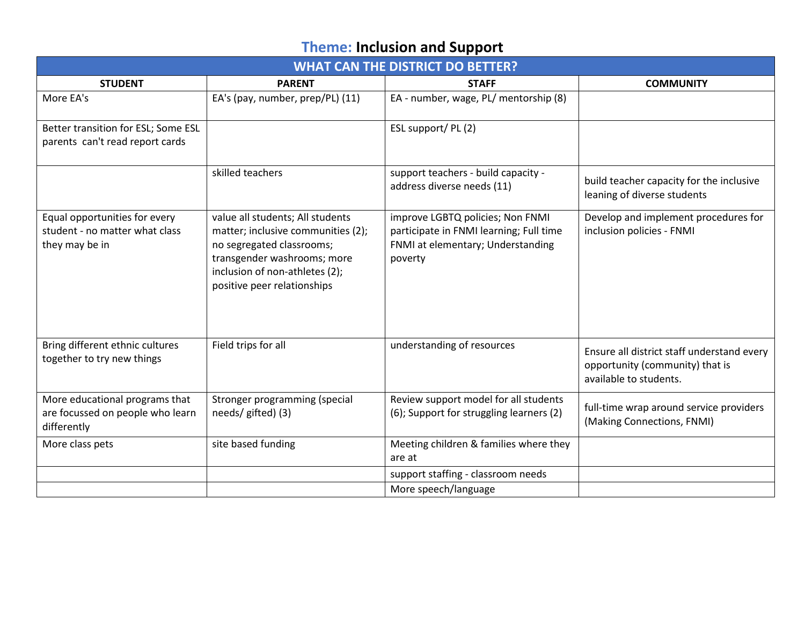# **Theme: Inclusion and Support**

|                                                                                   | <b>WHAT CAN THE DISTRICT DO BETTER?</b>                                                                                                                                                             |                                                                                                                             |                                                                                                         |  |  |
|-----------------------------------------------------------------------------------|-----------------------------------------------------------------------------------------------------------------------------------------------------------------------------------------------------|-----------------------------------------------------------------------------------------------------------------------------|---------------------------------------------------------------------------------------------------------|--|--|
| <b>STUDENT</b>                                                                    | <b>PARENT</b>                                                                                                                                                                                       | <b>STAFF</b>                                                                                                                | <b>COMMUNITY</b>                                                                                        |  |  |
| More EA's                                                                         | EA's (pay, number, prep/PL) (11)                                                                                                                                                                    | EA - number, wage, PL/ mentorship (8)                                                                                       |                                                                                                         |  |  |
| Better transition for ESL; Some ESL<br>parents can't read report cards            |                                                                                                                                                                                                     | ESL support/ PL (2)                                                                                                         |                                                                                                         |  |  |
|                                                                                   | skilled teachers                                                                                                                                                                                    | support teachers - build capacity -<br>address diverse needs (11)                                                           | build teacher capacity for the inclusive<br>leaning of diverse students                                 |  |  |
| Equal opportunities for every<br>student - no matter what class<br>they may be in | value all students; All students<br>matter; inclusive communities (2);<br>no segregated classrooms;<br>transgender washrooms; more<br>inclusion of non-athletes (2);<br>positive peer relationships | improve LGBTQ policies; Non FNMI<br>participate in FNMI learning; Full time<br>FNMI at elementary; Understanding<br>poverty | Develop and implement procedures for<br>inclusion policies - FNMI                                       |  |  |
| Bring different ethnic cultures<br>together to try new things                     | Field trips for all                                                                                                                                                                                 | understanding of resources                                                                                                  | Ensure all district staff understand every<br>opportunity (community) that is<br>available to students. |  |  |
| More educational programs that<br>are focussed on people who learn<br>differently | Stronger programming (special<br>needs/ gifted) (3)                                                                                                                                                 | Review support model for all students<br>(6); Support for struggling learners (2)                                           | full-time wrap around service providers<br>(Making Connections, FNMI)                                   |  |  |
| More class pets                                                                   | site based funding                                                                                                                                                                                  | Meeting children & families where they<br>are at                                                                            |                                                                                                         |  |  |
|                                                                                   |                                                                                                                                                                                                     | support staffing - classroom needs                                                                                          |                                                                                                         |  |  |
|                                                                                   |                                                                                                                                                                                                     | More speech/language                                                                                                        |                                                                                                         |  |  |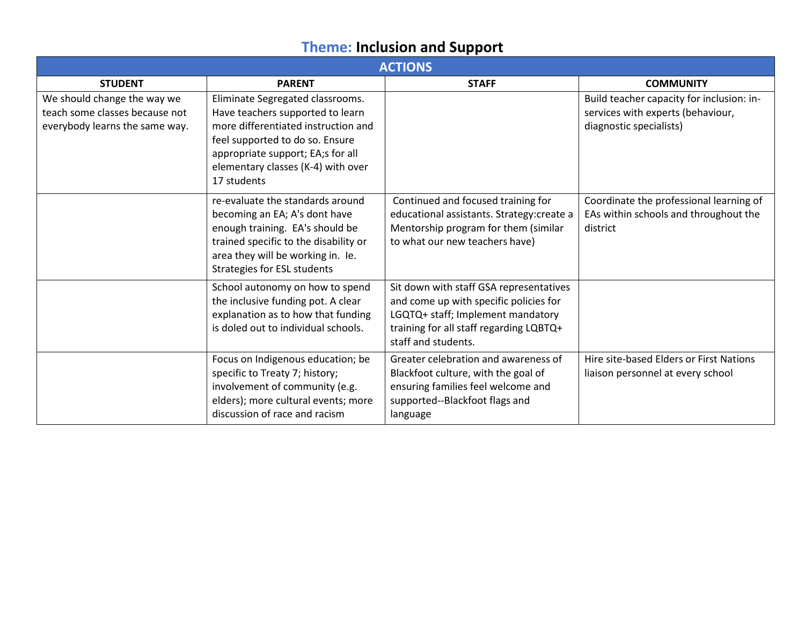# **Theme: Inclusion and Support**

| <b>ACTIONS</b>                                                                                  |                                                                                                                                                                                                                                          |                                                                                                                                                                                          |                                                                                                           |  |
|-------------------------------------------------------------------------------------------------|------------------------------------------------------------------------------------------------------------------------------------------------------------------------------------------------------------------------------------------|------------------------------------------------------------------------------------------------------------------------------------------------------------------------------------------|-----------------------------------------------------------------------------------------------------------|--|
| <b>STUDENT</b>                                                                                  | <b>PARENT</b>                                                                                                                                                                                                                            | <b>STAFF</b>                                                                                                                                                                             | <b>COMMUNITY</b>                                                                                          |  |
| We should change the way we<br>teach some classes because not<br>everybody learns the same way. | Eliminate Segregated classrooms.<br>Have teachers supported to learn<br>more differentiated instruction and<br>feel supported to do so. Ensure<br>appropriate support; EA;s for all<br>elementary classes (K-4) with over<br>17 students |                                                                                                                                                                                          | Build teacher capacity for inclusion: in-<br>services with experts (behaviour,<br>diagnostic specialists) |  |
|                                                                                                 | re-evaluate the standards around<br>becoming an EA; A's dont have<br>enough training. EA's should be<br>trained specific to the disability or<br>area they will be working in. Ie.<br>Strategies for ESL students                        | Continued and focused training for<br>educational assistants. Strategy: create a<br>Mentorship program for them (similar<br>to what our new teachers have)                               | Coordinate the professional learning of<br>EAs within schools and throughout the<br>district              |  |
|                                                                                                 | School autonomy on how to spend<br>the inclusive funding pot. A clear<br>explanation as to how that funding<br>is doled out to individual schools.                                                                                       | Sit down with staff GSA representatives<br>and come up with specific policies for<br>LGQTQ+ staff; Implement mandatory<br>training for all staff regarding LQBTQ+<br>staff and students. |                                                                                                           |  |
|                                                                                                 | Focus on Indigenous education; be<br>specific to Treaty 7; history;<br>involvement of community (e.g.<br>elders); more cultural events; more<br>discussion of race and racism                                                            | Greater celebration and awareness of<br>Blackfoot culture, with the goal of<br>ensuring families feel welcome and<br>supported--Blackfoot flags and<br>language                          | Hire site-based Elders or First Nations<br>liaison personnel at every school                              |  |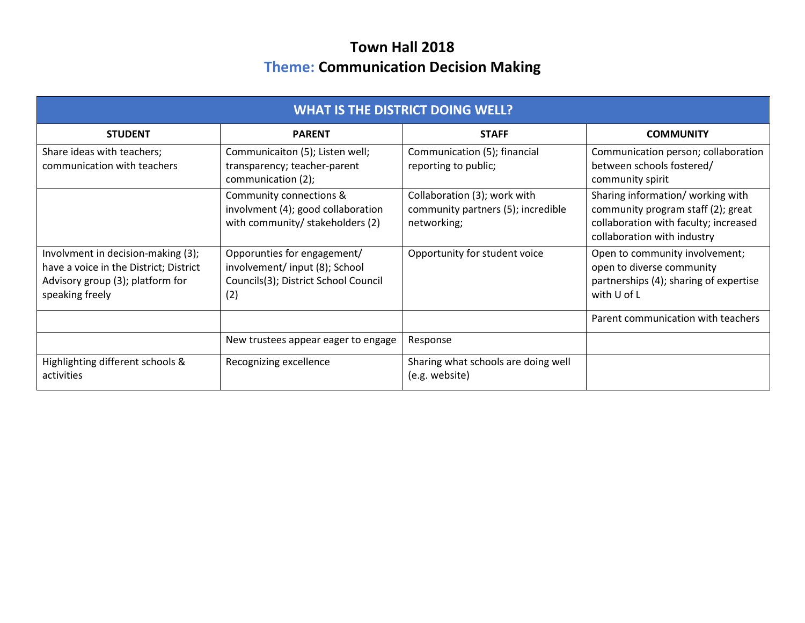## **Town Hall 2018 Theme: Communication Decision Making**

| <b>WHAT IS THE DISTRICT DOING WELL?</b>                                                                                             |                                                                                                             |                                                                                   |                                                                                                                                                 |  |
|-------------------------------------------------------------------------------------------------------------------------------------|-------------------------------------------------------------------------------------------------------------|-----------------------------------------------------------------------------------|-------------------------------------------------------------------------------------------------------------------------------------------------|--|
| <b>STUDENT</b>                                                                                                                      | <b>PARENT</b>                                                                                               | <b>STAFF</b>                                                                      | <b>COMMUNITY</b>                                                                                                                                |  |
| Share ideas with teachers;<br>communication with teachers                                                                           | Communicaiton (5); Listen well;<br>transparency; teacher-parent<br>communication (2);                       | Communication (5); financial<br>reporting to public;                              | Communication person; collaboration<br>between schools fostered/<br>community spirit                                                            |  |
|                                                                                                                                     | Community connections &<br>involvment (4); good collaboration<br>with community/ stakeholders (2)           | Collaboration (3); work with<br>community partners (5); incredible<br>networking; | Sharing information/ working with<br>community program staff (2); great<br>collaboration with faculty; increased<br>collaboration with industry |  |
| Involvment in decision-making (3);<br>have a voice in the District; District<br>Advisory group (3); platform for<br>speaking freely | Opporunties for engagement/<br>involvement/input (8); School<br>Councils(3); District School Council<br>(2) | Opportunity for student voice                                                     | Open to community involvement;<br>open to diverse community<br>partnerships (4); sharing of expertise<br>with U of L                            |  |
|                                                                                                                                     |                                                                                                             |                                                                                   | Parent communication with teachers                                                                                                              |  |
|                                                                                                                                     | New trustees appear eager to engage                                                                         | Response                                                                          |                                                                                                                                                 |  |
| Highlighting different schools &<br>activities                                                                                      | Recognizing excellence                                                                                      | Sharing what schools are doing well<br>(e.g. website)                             |                                                                                                                                                 |  |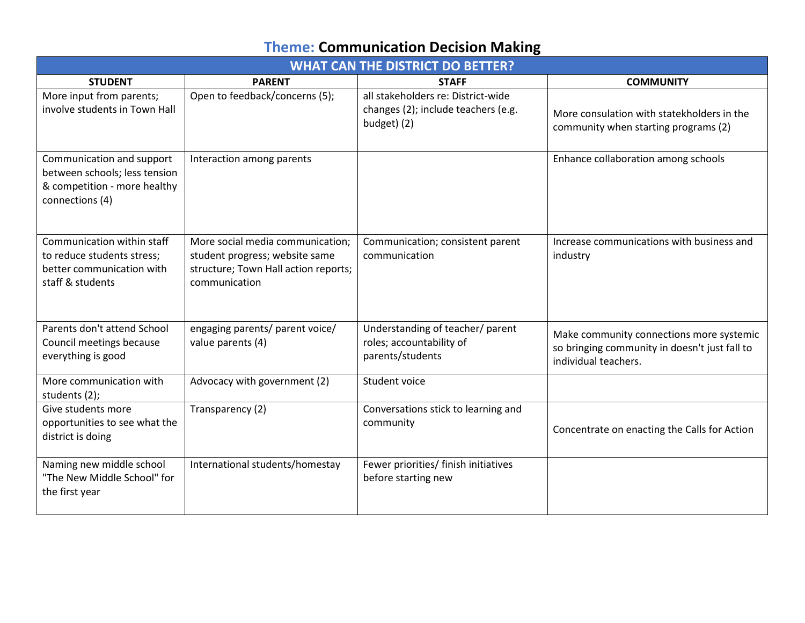# **Theme: Communication Decision Making**

|                                                                                                               | <b>WHAT CAN THE DISTRICT DO BETTER?</b>                                                                                     |                                                                                          |                                                                                                                   |  |
|---------------------------------------------------------------------------------------------------------------|-----------------------------------------------------------------------------------------------------------------------------|------------------------------------------------------------------------------------------|-------------------------------------------------------------------------------------------------------------------|--|
| <b>STUDENT</b>                                                                                                | <b>PARENT</b>                                                                                                               | <b>STAFF</b>                                                                             | <b>COMMUNITY</b>                                                                                                  |  |
| More input from parents;<br>involve students in Town Hall                                                     | Open to feedback/concerns (5);                                                                                              | all stakeholders re: District-wide<br>changes (2); include teachers (e.g.<br>budget) (2) | More consulation with statekholders in the<br>community when starting programs (2)                                |  |
| Communication and support<br>between schools; less tension<br>& competition - more healthy<br>connections (4) | Interaction among parents                                                                                                   |                                                                                          | Enhance collaboration among schools                                                                               |  |
| Communication within staff<br>to reduce students stress;<br>better communication with<br>staff & students     | More social media communication;<br>student progress; website same<br>structure; Town Hall action reports;<br>communication | Communication; consistent parent<br>communication                                        | Increase communications with business and<br>industry                                                             |  |
| Parents don't attend School<br>Council meetings because<br>everything is good                                 | engaging parents/ parent voice/<br>value parents (4)                                                                        | Understanding of teacher/ parent<br>roles; accountability of<br>parents/students         | Make community connections more systemic<br>so bringing community in doesn't just fall to<br>individual teachers. |  |
| More communication with<br>students (2);                                                                      | Advocacy with government (2)                                                                                                | Student voice                                                                            |                                                                                                                   |  |
| Give students more<br>opportunities to see what the<br>district is doing                                      | Transparency (2)                                                                                                            | Conversations stick to learning and<br>community                                         | Concentrate on enacting the Calls for Action                                                                      |  |
| Naming new middle school<br>"The New Middle School" for<br>the first year                                     | International students/homestay                                                                                             | Fewer priorities/ finish initiatives<br>before starting new                              |                                                                                                                   |  |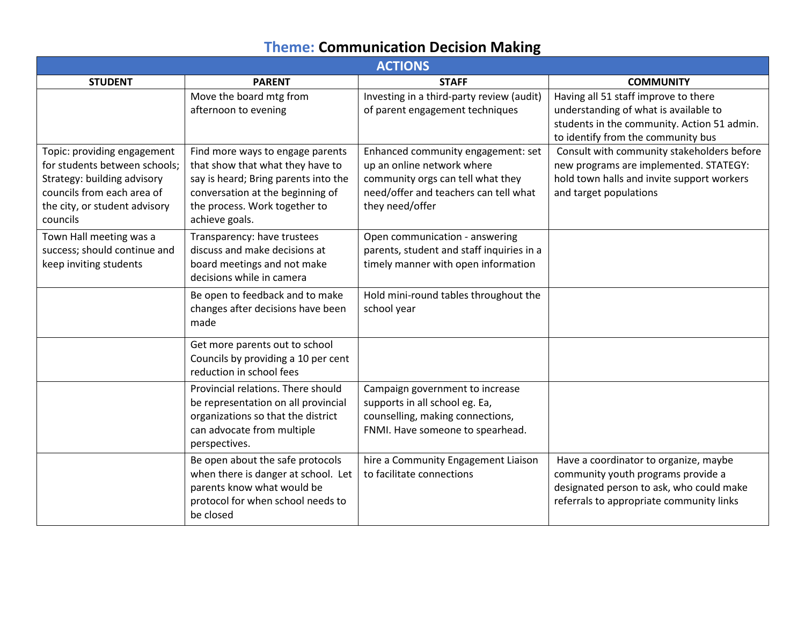# **Theme: Communication Decision Making**

| <b>ACTIONS</b>                                                                                                                                                         |                                                                                                                                                                                                     |                                                                                                                                                                   |                                                                                                                                                                     |  |
|------------------------------------------------------------------------------------------------------------------------------------------------------------------------|-----------------------------------------------------------------------------------------------------------------------------------------------------------------------------------------------------|-------------------------------------------------------------------------------------------------------------------------------------------------------------------|---------------------------------------------------------------------------------------------------------------------------------------------------------------------|--|
| <b>STUDENT</b>                                                                                                                                                         | <b>PARENT</b>                                                                                                                                                                                       | <b>STAFF</b>                                                                                                                                                      | <b>COMMUNITY</b>                                                                                                                                                    |  |
|                                                                                                                                                                        | Move the board mtg from<br>afternoon to evening                                                                                                                                                     | Investing in a third-party review (audit)<br>of parent engagement techniques                                                                                      | Having all 51 staff improve to there<br>understanding of what is available to<br>students in the community. Action 51 admin.<br>to identify from the community bus  |  |
| Topic: providing engagement<br>for students between schools;<br>Strategy: building advisory<br>councils from each area of<br>the city, or student advisory<br>councils | Find more ways to engage parents<br>that show that what they have to<br>say is heard; Bring parents into the<br>conversation at the beginning of<br>the process. Work together to<br>achieve goals. | Enhanced community engagement: set<br>up an online network where<br>community orgs can tell what they<br>need/offer and teachers can tell what<br>they need/offer | Consult with community stakeholders before<br>new programs are implemented. STATEGY:<br>hold town halls and invite support workers<br>and target populations        |  |
| Town Hall meeting was a<br>success; should continue and<br>keep inviting students                                                                                      | Transparency: have trustees<br>discuss and make decisions at<br>board meetings and not make<br>decisions while in camera                                                                            | Open communication - answering<br>parents, student and staff inquiries in a<br>timely manner with open information                                                |                                                                                                                                                                     |  |
|                                                                                                                                                                        | Be open to feedback and to make<br>changes after decisions have been<br>made                                                                                                                        | Hold mini-round tables throughout the<br>school year                                                                                                              |                                                                                                                                                                     |  |
|                                                                                                                                                                        | Get more parents out to school<br>Councils by providing a 10 per cent<br>reduction in school fees                                                                                                   |                                                                                                                                                                   |                                                                                                                                                                     |  |
|                                                                                                                                                                        | Provincial relations. There should<br>be representation on all provincial<br>organizations so that the district<br>can advocate from multiple<br>perspectives.                                      | Campaign government to increase<br>supports in all school eg. Ea,<br>counselling, making connections,<br>FNMI. Have someone to spearhead.                         |                                                                                                                                                                     |  |
|                                                                                                                                                                        | Be open about the safe protocols<br>when there is danger at school. Let<br>parents know what would be<br>protocol for when school needs to<br>be closed                                             | hire a Community Engagement Liaison<br>to facilitate connections                                                                                                  | Have a coordinator to organize, maybe<br>community youth programs provide a<br>designated person to ask, who could make<br>referrals to appropriate community links |  |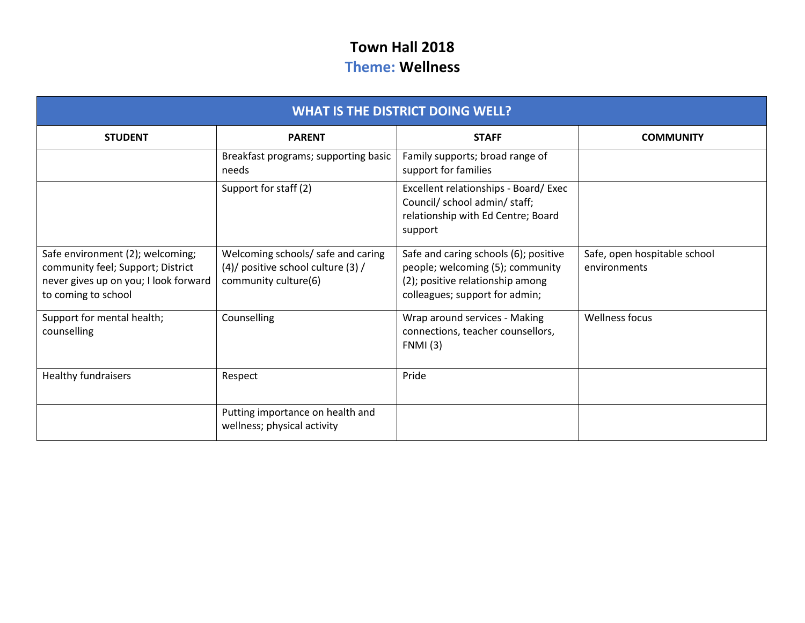## **Town Hall 2018 Theme: Wellness**

| <b>WHAT IS THE DISTRICT DOING WELL?</b>                                                                                               |                                                                                                  |                                                                                                                                                 |                                              |
|---------------------------------------------------------------------------------------------------------------------------------------|--------------------------------------------------------------------------------------------------|-------------------------------------------------------------------------------------------------------------------------------------------------|----------------------------------------------|
| <b>STUDENT</b>                                                                                                                        | <b>PARENT</b>                                                                                    | <b>STAFF</b>                                                                                                                                    | <b>COMMUNITY</b>                             |
|                                                                                                                                       | Breakfast programs; supporting basic<br>needs                                                    | Family supports; broad range of<br>support for families                                                                                         |                                              |
|                                                                                                                                       | Support for staff (2)                                                                            | Excellent relationships - Board/ Exec<br>Council/ school admin/ staff;<br>relationship with Ed Centre; Board<br>support                         |                                              |
| Safe environment (2); welcoming;<br>community feel; Support; District<br>never gives up on you; I look forward<br>to coming to school | Welcoming schools/ safe and caring<br>(4)/ positive school culture (3) /<br>community culture(6) | Safe and caring schools (6); positive<br>people; welcoming (5); community<br>(2); positive relationship among<br>colleagues; support for admin; | Safe, open hospitable school<br>environments |
| Support for mental health;<br>counselling                                                                                             | Counselling                                                                                      | Wrap around services - Making<br>connections, teacher counsellors,<br><b>FNMI</b> (3)                                                           | <b>Wellness focus</b>                        |
| <b>Healthy fundraisers</b>                                                                                                            | Respect                                                                                          | Pride                                                                                                                                           |                                              |
|                                                                                                                                       | Putting importance on health and<br>wellness; physical activity                                  |                                                                                                                                                 |                                              |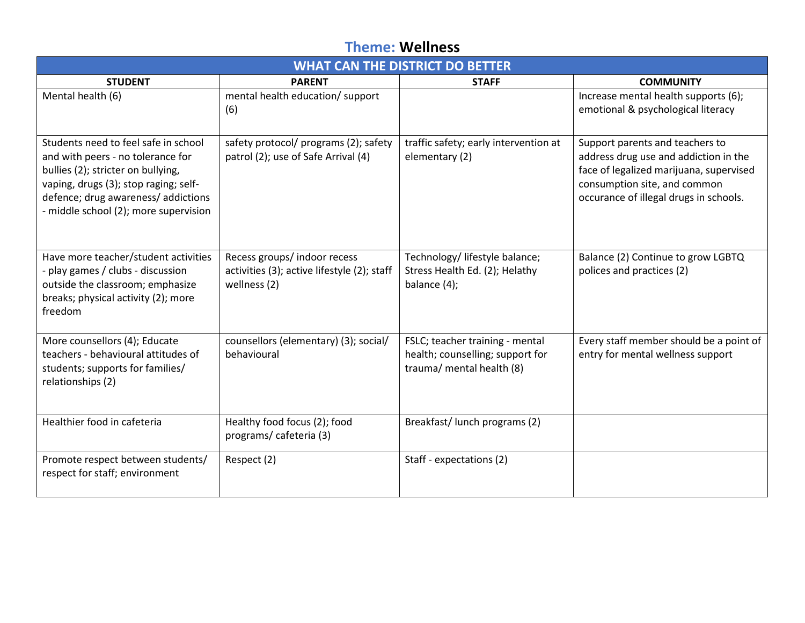#### **Theme: Wellness**

| <b>WHAT CAN THE DISTRICT DO BETTER</b>                                                                                                                                                                                                   |                                                                                             |                                                                                                  |                                                                                                                                                                                               |
|------------------------------------------------------------------------------------------------------------------------------------------------------------------------------------------------------------------------------------------|---------------------------------------------------------------------------------------------|--------------------------------------------------------------------------------------------------|-----------------------------------------------------------------------------------------------------------------------------------------------------------------------------------------------|
| <b>STUDENT</b>                                                                                                                                                                                                                           | <b>PARENT</b>                                                                               | <b>STAFF</b>                                                                                     | <b>COMMUNITY</b>                                                                                                                                                                              |
| Mental health (6)                                                                                                                                                                                                                        | mental health education/ support<br>(6)                                                     |                                                                                                  | Increase mental health supports (6);<br>emotional & psychological literacy                                                                                                                    |
| Students need to feel safe in school<br>and with peers - no tolerance for<br>bullies (2); stricter on bullying,<br>vaping, drugs (3); stop raging; self-<br>defence; drug awareness/ addictions<br>- middle school (2); more supervision | safety protocol/ programs (2); safety<br>patrol (2); use of Safe Arrival (4)                | traffic safety; early intervention at<br>elementary (2)                                          | Support parents and teachers to<br>address drug use and addiction in the<br>face of legalized marijuana, supervised<br>consumption site, and common<br>occurance of illegal drugs in schools. |
| Have more teacher/student activities<br>- play games / clubs - discussion<br>outside the classroom; emphasize<br>breaks; physical activity (2); more<br>freedom                                                                          | Recess groups/ indoor recess<br>activities (3); active lifestyle (2); staff<br>wellness (2) | Technology/ lifestyle balance;<br>Stress Health Ed. (2); Helathy<br>balance (4);                 | Balance (2) Continue to grow LGBTQ<br>polices and practices (2)                                                                                                                               |
| More counsellors (4); Educate<br>teachers - behavioural attitudes of<br>students; supports for families/<br>relationships (2)                                                                                                            | counsellors (elementary) (3); social/<br>behavioural                                        | FSLC; teacher training - mental<br>health; counselling; support for<br>trauma/ mental health (8) | Every staff member should be a point of<br>entry for mental wellness support                                                                                                                  |
| Healthier food in cafeteria                                                                                                                                                                                                              | Healthy food focus (2); food<br>programs/cafeteria (3)                                      | Breakfast/ lunch programs (2)                                                                    |                                                                                                                                                                                               |
| Promote respect between students/<br>respect for staff; environment                                                                                                                                                                      | Respect (2)                                                                                 | Staff - expectations (2)                                                                         |                                                                                                                                                                                               |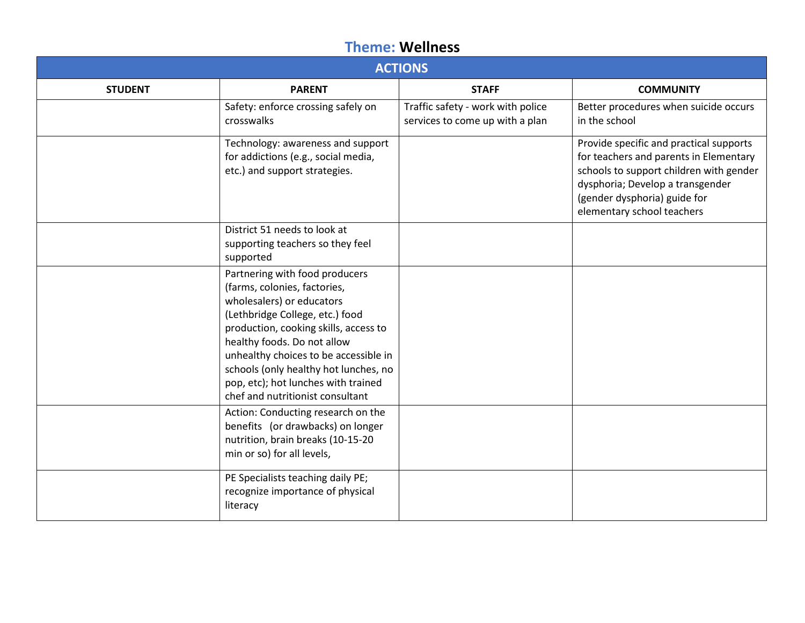#### **Theme: Wellness**

| <b>ACTIONS</b> |                                                                                                                                                                                                                                                                                                                                                                     |                                                                      |                                                                                                                                                                                                                                |  |
|----------------|---------------------------------------------------------------------------------------------------------------------------------------------------------------------------------------------------------------------------------------------------------------------------------------------------------------------------------------------------------------------|----------------------------------------------------------------------|--------------------------------------------------------------------------------------------------------------------------------------------------------------------------------------------------------------------------------|--|
| <b>STUDENT</b> | <b>PARENT</b>                                                                                                                                                                                                                                                                                                                                                       | <b>STAFF</b>                                                         | <b>COMMUNITY</b>                                                                                                                                                                                                               |  |
|                | Safety: enforce crossing safely on<br>crosswalks                                                                                                                                                                                                                                                                                                                    | Traffic safety - work with police<br>services to come up with a plan | Better procedures when suicide occurs<br>in the school                                                                                                                                                                         |  |
|                | Technology: awareness and support<br>for addictions (e.g., social media,<br>etc.) and support strategies.                                                                                                                                                                                                                                                           |                                                                      | Provide specific and practical supports<br>for teachers and parents in Elementary<br>schools to support children with gender<br>dysphoria; Develop a transgender<br>(gender dysphoria) guide for<br>elementary school teachers |  |
|                | District 51 needs to look at<br>supporting teachers so they feel<br>supported                                                                                                                                                                                                                                                                                       |                                                                      |                                                                                                                                                                                                                                |  |
|                | Partnering with food producers<br>(farms, colonies, factories,<br>wholesalers) or educators<br>(Lethbridge College, etc.) food<br>production, cooking skills, access to<br>healthy foods. Do not allow<br>unhealthy choices to be accessible in<br>schools (only healthy hot lunches, no<br>pop, etc); hot lunches with trained<br>chef and nutritionist consultant |                                                                      |                                                                                                                                                                                                                                |  |
|                | Action: Conducting research on the<br>benefits (or drawbacks) on longer<br>nutrition, brain breaks (10-15-20<br>min or so) for all levels,                                                                                                                                                                                                                          |                                                                      |                                                                                                                                                                                                                                |  |
|                | PE Specialists teaching daily PE;<br>recognize importance of physical<br>literacy                                                                                                                                                                                                                                                                                   |                                                                      |                                                                                                                                                                                                                                |  |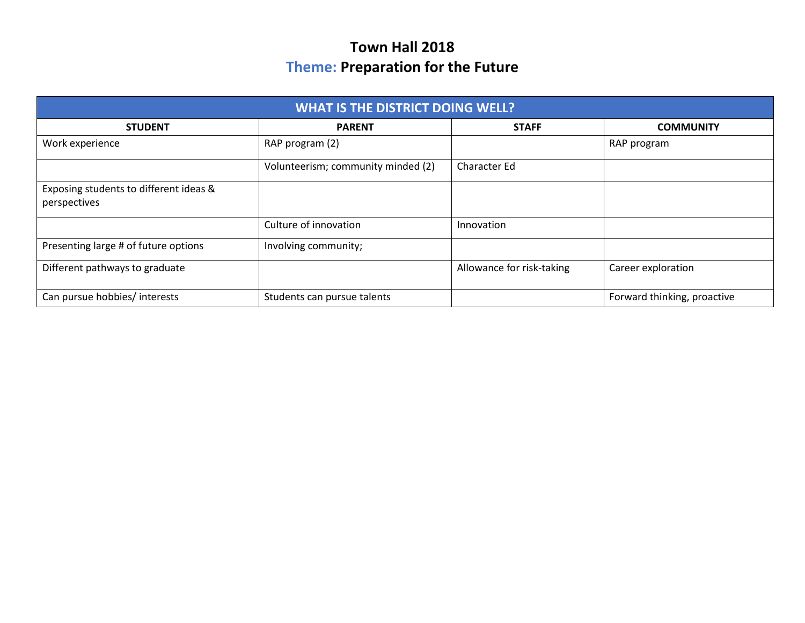## **Town Hall 2018 Theme: Preparation for the Future**

| <b>WHAT IS THE DISTRICT DOING WELL?</b>                |                                    |                           |                             |  |
|--------------------------------------------------------|------------------------------------|---------------------------|-----------------------------|--|
| <b>STUDENT</b>                                         | <b>PARENT</b>                      | <b>STAFF</b>              | <b>COMMUNITY</b>            |  |
| Work experience                                        | RAP program (2)                    |                           | RAP program                 |  |
|                                                        | Volunteerism; community minded (2) | Character Ed              |                             |  |
| Exposing students to different ideas &<br>perspectives |                                    |                           |                             |  |
|                                                        | Culture of innovation              | Innovation                |                             |  |
| Presenting large # of future options                   | Involving community;               |                           |                             |  |
| Different pathways to graduate                         |                                    | Allowance for risk-taking | Career exploration          |  |
| Can pursue hobbies/ interests                          | Students can pursue talents        |                           | Forward thinking, proactive |  |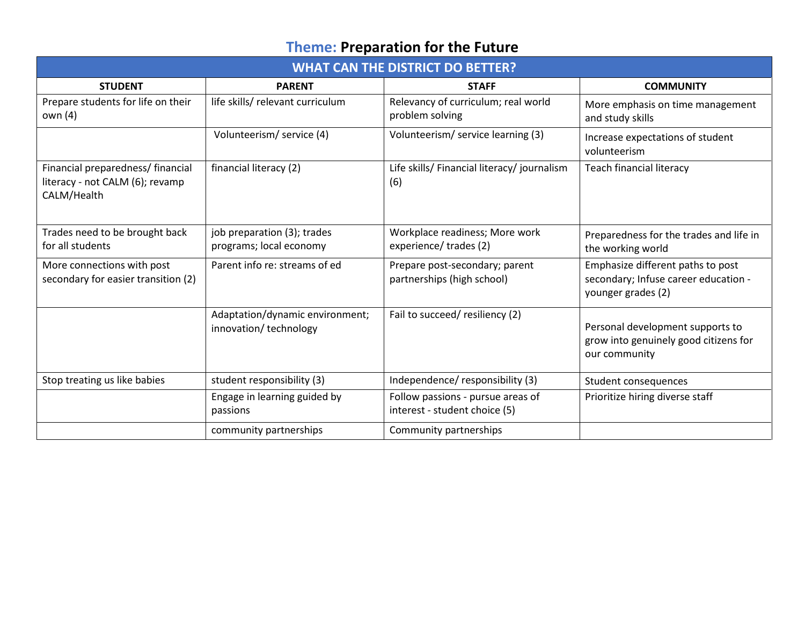# **Theme: Preparation for the Future**

| <b>WHAT CAN THE DISTRICT DO BETTER?</b>                                             |                                                          |                                                                    |                                                                                                 |
|-------------------------------------------------------------------------------------|----------------------------------------------------------|--------------------------------------------------------------------|-------------------------------------------------------------------------------------------------|
| <b>STUDENT</b>                                                                      | <b>PARENT</b>                                            | <b>STAFF</b>                                                       | <b>COMMUNITY</b>                                                                                |
| Prepare students for life on their<br>own (4)                                       | life skills/ relevant curriculum                         | Relevancy of curriculum; real world<br>problem solving             | More emphasis on time management<br>and study skills                                            |
|                                                                                     | Volunteerism/ service (4)                                | Volunteerism/ service learning (3)                                 | Increase expectations of student<br>volunteerism                                                |
| Financial preparedness/ financial<br>literacy - not CALM (6); revamp<br>CALM/Health | financial literacy (2)                                   | Life skills/ Financial literacy/ journalism<br>(6)                 | <b>Teach financial literacy</b>                                                                 |
| Trades need to be brought back<br>for all students                                  | job preparation (3); trades<br>programs; local economy   | Workplace readiness; More work<br>experience/trades (2)            | Preparedness for the trades and life in<br>the working world                                    |
| More connections with post<br>secondary for easier transition (2)                   | Parent info re: streams of ed                            | Prepare post-secondary; parent<br>partnerships (high school)       | Emphasize different paths to post<br>secondary; Infuse career education -<br>younger grades (2) |
|                                                                                     | Adaptation/dynamic environment;<br>innovation/technology | Fail to succeed/resiliency (2)                                     | Personal development supports to<br>grow into genuinely good citizens for<br>our community      |
| Stop treating us like babies                                                        | student responsibility (3)                               | Independence/responsibility (3)                                    | Student consequences                                                                            |
|                                                                                     | Engage in learning guided by<br>passions                 | Follow passions - pursue areas of<br>interest - student choice (5) | Prioritize hiring diverse staff                                                                 |
|                                                                                     | community partnerships                                   | Community partnerships                                             |                                                                                                 |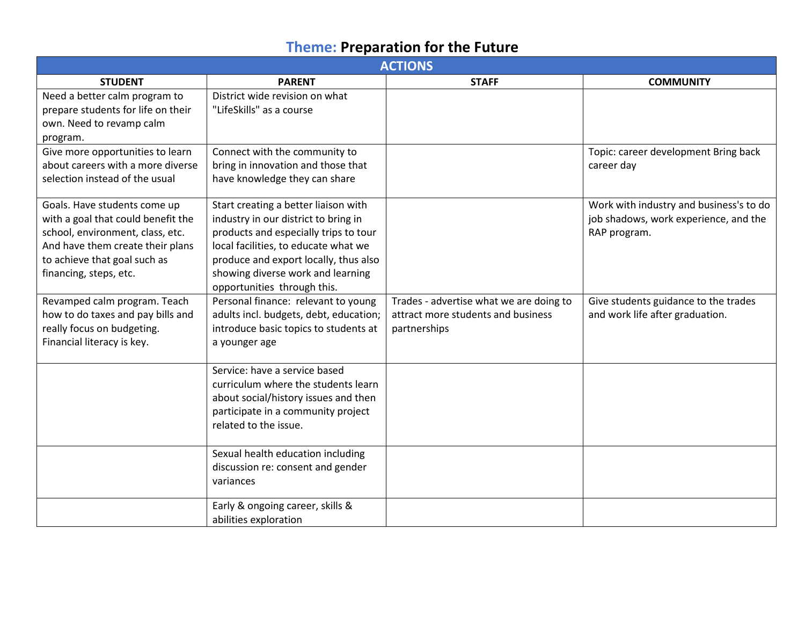# **Theme: Preparation for the Future**

| <b>ACTIONS</b>                                                                                                                                                                                       |                                                                                                                                                                                                                                                                            |                                                                                               |                                                                                                  |
|------------------------------------------------------------------------------------------------------------------------------------------------------------------------------------------------------|----------------------------------------------------------------------------------------------------------------------------------------------------------------------------------------------------------------------------------------------------------------------------|-----------------------------------------------------------------------------------------------|--------------------------------------------------------------------------------------------------|
| <b>STUDENT</b>                                                                                                                                                                                       | <b>PARENT</b>                                                                                                                                                                                                                                                              | <b>STAFF</b>                                                                                  | <b>COMMUNITY</b>                                                                                 |
| Need a better calm program to<br>prepare students for life on their<br>own. Need to revamp calm<br>program.                                                                                          | District wide revision on what<br>"LifeSkills" as a course                                                                                                                                                                                                                 |                                                                                               |                                                                                                  |
| Give more opportunities to learn<br>about careers with a more diverse<br>selection instead of the usual                                                                                              | Connect with the community to<br>bring in innovation and those that<br>have knowledge they can share                                                                                                                                                                       |                                                                                               | Topic: career development Bring back<br>career day                                               |
| Goals. Have students come up<br>with a goal that could benefit the<br>school, environment, class, etc.<br>And have them create their plans<br>to achieve that goal such as<br>financing, steps, etc. | Start creating a better liaison with<br>industry in our district to bring in<br>products and especially trips to tour<br>local facilities, to educate what we<br>produce and export locally, thus also<br>showing diverse work and learning<br>opportunities through this. |                                                                                               | Work with industry and business's to do<br>job shadows, work experience, and the<br>RAP program. |
| Revamped calm program. Teach<br>how to do taxes and pay bills and<br>really focus on budgeting.<br>Financial literacy is key.                                                                        | Personal finance: relevant to young<br>adults incl. budgets, debt, education;<br>introduce basic topics to students at<br>a younger age                                                                                                                                    | Trades - advertise what we are doing to<br>attract more students and business<br>partnerships | Give students guidance to the trades<br>and work life after graduation.                          |
|                                                                                                                                                                                                      | Service: have a service based<br>curriculum where the students learn<br>about social/history issues and then<br>participate in a community project<br>related to the issue.                                                                                                |                                                                                               |                                                                                                  |
|                                                                                                                                                                                                      | Sexual health education including<br>discussion re: consent and gender<br>variances<br>Early & ongoing career, skills &                                                                                                                                                    |                                                                                               |                                                                                                  |
|                                                                                                                                                                                                      | abilities exploration                                                                                                                                                                                                                                                      |                                                                                               |                                                                                                  |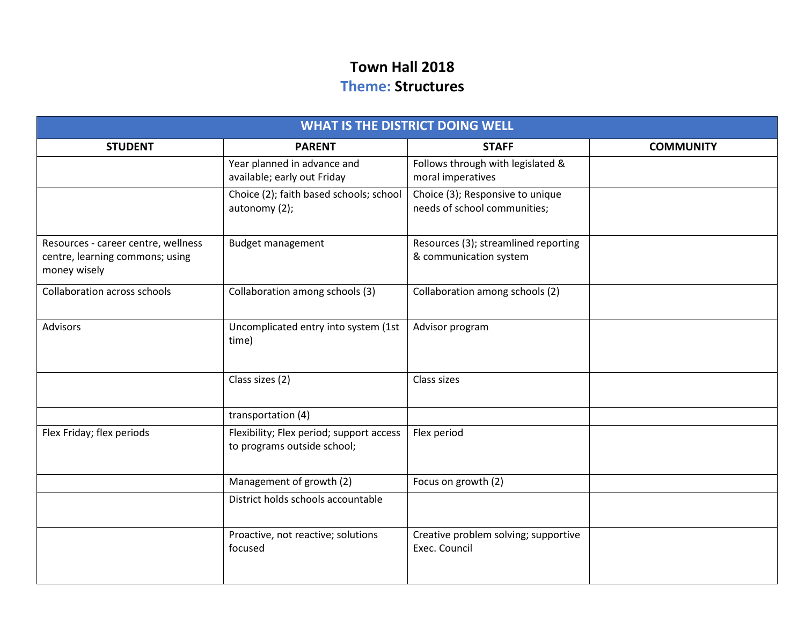## **Town Hall 2018 Theme: Structures**

| <b>WHAT IS THE DISTRICT DOING WELL</b>                                                 |                                                                         |                                                                  |                  |  |
|----------------------------------------------------------------------------------------|-------------------------------------------------------------------------|------------------------------------------------------------------|------------------|--|
| <b>STUDENT</b>                                                                         | <b>PARENT</b>                                                           | <b>STAFF</b>                                                     | <b>COMMUNITY</b> |  |
|                                                                                        | Year planned in advance and<br>available; early out Friday              | Follows through with legislated &<br>moral imperatives           |                  |  |
|                                                                                        | Choice (2); faith based schools; school<br>autonomy (2);                | Choice (3); Responsive to unique<br>needs of school communities; |                  |  |
| Resources - career centre, wellness<br>centre, learning commons; using<br>money wisely | <b>Budget management</b>                                                | Resources (3); streamlined reporting<br>& communication system   |                  |  |
| <b>Collaboration across schools</b>                                                    | Collaboration among schools (3)                                         | Collaboration among schools (2)                                  |                  |  |
| <b>Advisors</b>                                                                        | Uncomplicated entry into system (1st<br>time)                           | Advisor program                                                  |                  |  |
|                                                                                        | Class sizes (2)                                                         | Class sizes                                                      |                  |  |
|                                                                                        | transportation (4)                                                      |                                                                  |                  |  |
| Flex Friday; flex periods                                                              | Flexibility; Flex period; support access<br>to programs outside school; | Flex period                                                      |                  |  |
|                                                                                        | Management of growth (2)                                                | Focus on growth (2)                                              |                  |  |
|                                                                                        | District holds schools accountable                                      |                                                                  |                  |  |
|                                                                                        | Proactive, not reactive; solutions<br>focused                           | Creative problem solving; supportive<br>Exec. Council            |                  |  |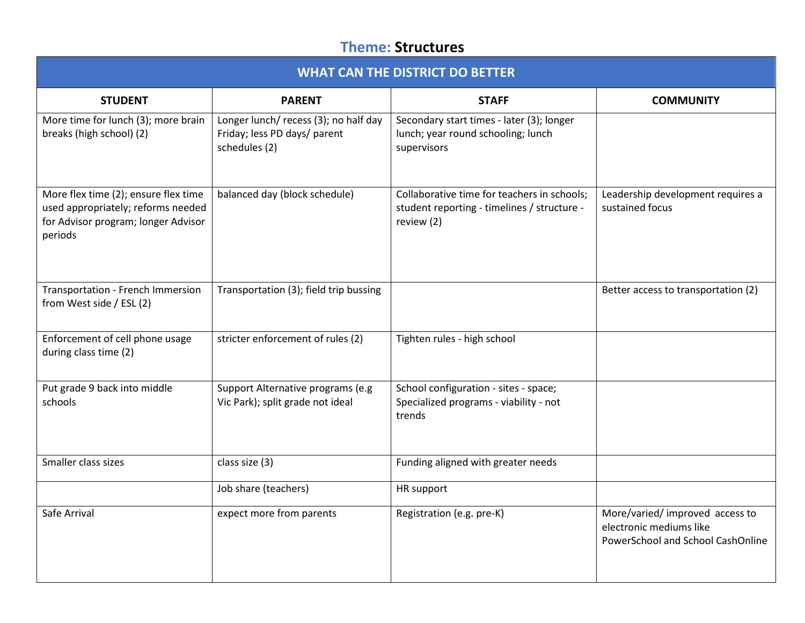## **Theme: Structures**

| <b>WHAT CAN THE DISTRICT DO BETTER</b>                                                                                       |                                                                                        |                                                                                                          |                                                                                                 |  |
|------------------------------------------------------------------------------------------------------------------------------|----------------------------------------------------------------------------------------|----------------------------------------------------------------------------------------------------------|-------------------------------------------------------------------------------------------------|--|
| <b>STUDENT</b>                                                                                                               | <b>PARENT</b>                                                                          | <b>STAFF</b>                                                                                             | <b>COMMUNITY</b>                                                                                |  |
| More time for lunch (3); more brain<br>breaks (high school) (2)                                                              | Longer lunch/ recess (3); no half day<br>Friday; less PD days/ parent<br>schedules (2) | Secondary start times - later (3); longer<br>lunch; year round schooling; lunch<br>supervisors           |                                                                                                 |  |
| More flex time (2); ensure flex time<br>used appropriately; reforms needed<br>for Advisor program; longer Advisor<br>periods | balanced day (block schedule)                                                          | Collaborative time for teachers in schools;<br>student reporting - timelines / structure -<br>review (2) | Leadership development requires a<br>sustained focus                                            |  |
| Transportation - French Immersion<br>from West side / ESL (2)                                                                | Transportation (3); field trip bussing                                                 |                                                                                                          | Better access to transportation (2)                                                             |  |
| Enforcement of cell phone usage<br>during class time (2)                                                                     | stricter enforcement of rules (2)                                                      | Tighten rules - high school                                                                              |                                                                                                 |  |
| Put grade 9 back into middle<br>schools                                                                                      | Support Alternative programs (e.g<br>Vic Park); split grade not ideal                  | School configuration - sites - space;<br>Specialized programs - viability - not<br>trends                |                                                                                                 |  |
| Smaller class sizes                                                                                                          | class size (3)                                                                         | Funding aligned with greater needs                                                                       |                                                                                                 |  |
|                                                                                                                              | Job share (teachers)                                                                   | HR support                                                                                               |                                                                                                 |  |
| Safe Arrival                                                                                                                 | expect more from parents                                                               | Registration (e.g. pre-K)                                                                                | More/varied/ improved access to<br>electronic mediums like<br>PowerSchool and School CashOnline |  |